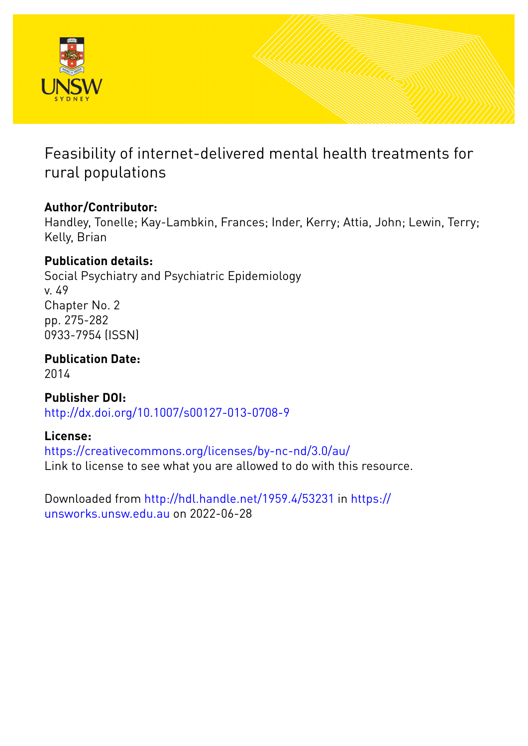

Feasibility of internet-delivered mental health treatments for rural populations

# **Author/Contributor:**

Handley, Tonelle; Kay-Lambkin, Frances; Inder, Kerry; Attia, John; Lewin, Terry; Kelly, Brian

# **Publication details:**

Social Psychiatry and Psychiatric Epidemiology v. 49 Chapter No. 2 pp. 275-282 0933-7954 (ISSN)

**Publication Date:** 2014

**Publisher DOI:** [http://dx.doi.org/10.1007/s00127-013-0708-9](http://dx.doi.org/http://dx.doi.org/10.1007/s00127-013-0708-9)

# **License:**

<https://creativecommons.org/licenses/by-nc-nd/3.0/au/> Link to license to see what you are allowed to do with this resource.

Downloaded from <http://hdl.handle.net/1959.4/53231> in [https://](https://unsworks.unsw.edu.au) [unsworks.unsw.edu.au](https://unsworks.unsw.edu.au) on 2022-06-28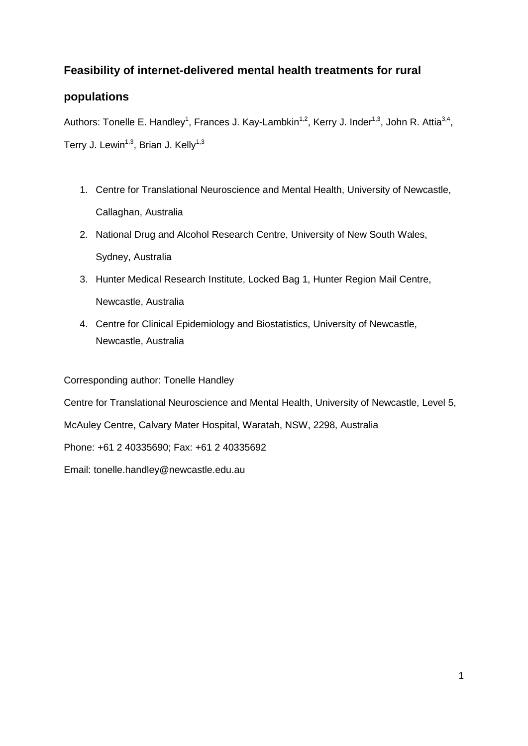## **Feasibility of internet-delivered mental health treatments for rural**

## **populations**

Authors: Tonelle E. Handley<sup>1</sup>, Frances J. Kay-Lambkin<sup>1,2</sup>, Kerry J. Inder<sup>1,3</sup>, John R. Attia<sup>3,4</sup>, Terry J. Lewin<sup>1,3</sup>, Brian J. Kelly<sup>1,3</sup>

- 1. Centre for Translational Neuroscience and Mental Health, University of Newcastle, Callaghan, Australia
- 2. National Drug and Alcohol Research Centre, University of New South Wales, Sydney, Australia
- 3. Hunter Medical Research Institute, Locked Bag 1, Hunter Region Mail Centre, Newcastle, Australia
- 4. Centre for Clinical Epidemiology and Biostatistics, University of Newcastle, Newcastle, Australia

## Corresponding author: Tonelle Handley

Centre for Translational Neuroscience and Mental Health, University of Newcastle, Level 5,

McAuley Centre, Calvary Mater Hospital, Waratah, NSW, 2298, Australia

Phone: +61 2 40335690; Fax: +61 2 40335692

Email: tonelle.handley@newcastle.edu.au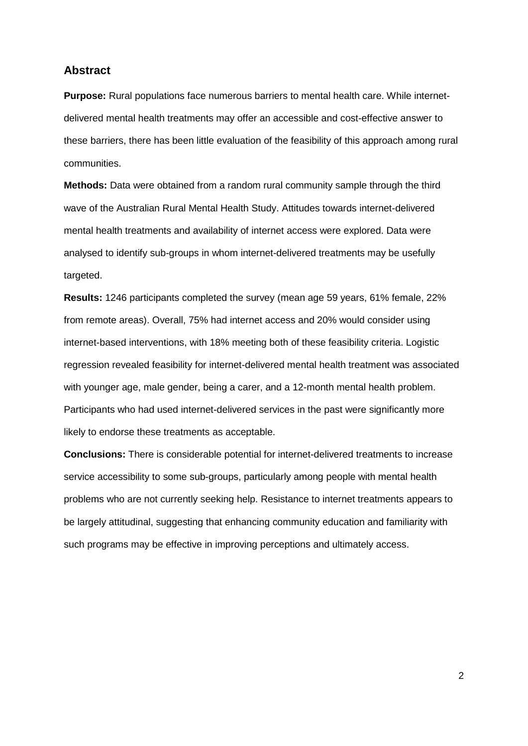## **Abstract**

**Purpose:** Rural populations face numerous barriers to mental health care. While internetdelivered mental health treatments may offer an accessible and cost-effective answer to these barriers, there has been little evaluation of the feasibility of this approach among rural communities.

**Methods:** Data were obtained from a random rural community sample through the third wave of the Australian Rural Mental Health Study. Attitudes towards internet-delivered mental health treatments and availability of internet access were explored. Data were analysed to identify sub-groups in whom internet-delivered treatments may be usefully targeted.

**Results:** 1246 participants completed the survey (mean age 59 years, 61% female, 22% from remote areas). Overall, 75% had internet access and 20% would consider using internet-based interventions, with 18% meeting both of these feasibility criteria. Logistic regression revealed feasibility for internet-delivered mental health treatment was associated with younger age, male gender, being a carer, and a 12-month mental health problem. Participants who had used internet-delivered services in the past were significantly more likely to endorse these treatments as acceptable.

**Conclusions:** There is considerable potential for internet-delivered treatments to increase service accessibility to some sub-groups, particularly among people with mental health problems who are not currently seeking help. Resistance to internet treatments appears to be largely attitudinal, suggesting that enhancing community education and familiarity with such programs may be effective in improving perceptions and ultimately access.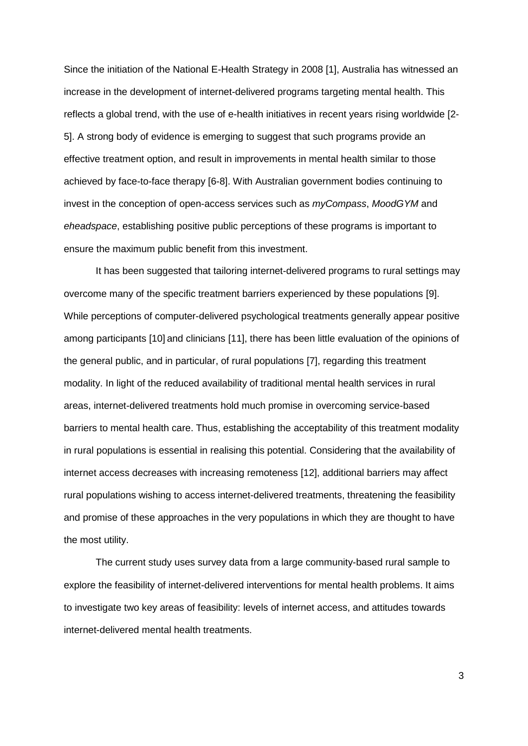Since the initiation of the National E-Health Strategy in 2008 [1], Australia has witnessed an increase in the development of internet-delivered programs targeting mental health. This reflects a global trend, with the use of e-health initiatives in recent years rising worldwide [2- 5]. A strong body of evidence is emerging to suggest that such programs provide an effective treatment option, and result in improvements in mental health similar to those achieved by face-to-face therapy [6-8]. With Australian government bodies continuing to invest in the conception of open-access services such as *myCompass*, *MoodGYM* and *eheadspace*, establishing positive public perceptions of these programs is important to ensure the maximum public benefit from this investment.

It has been suggested that tailoring internet-delivered programs to rural settings may overcome many of the specific treatment barriers experienced by these populations [9]. While perceptions of computer-delivered psychological treatments generally appear positive among participants [10] and clinicians [11], there has been little evaluation of the opinions of the general public, and in particular, of rural populations [7], regarding this treatment modality. In light of the reduced availability of traditional mental health services in rural areas, internet-delivered treatments hold much promise in overcoming service-based barriers to mental health care. Thus, establishing the acceptability of this treatment modality in rural populations is essential in realising this potential. Considering that the availability of internet access decreases with increasing remoteness [12], additional barriers may affect rural populations wishing to access internet-delivered treatments, threatening the feasibility and promise of these approaches in the very populations in which they are thought to have the most utility.

The current study uses survey data from a large community-based rural sample to explore the feasibility of internet-delivered interventions for mental health problems. It aims to investigate two key areas of feasibility: levels of internet access, and attitudes towards internet-delivered mental health treatments.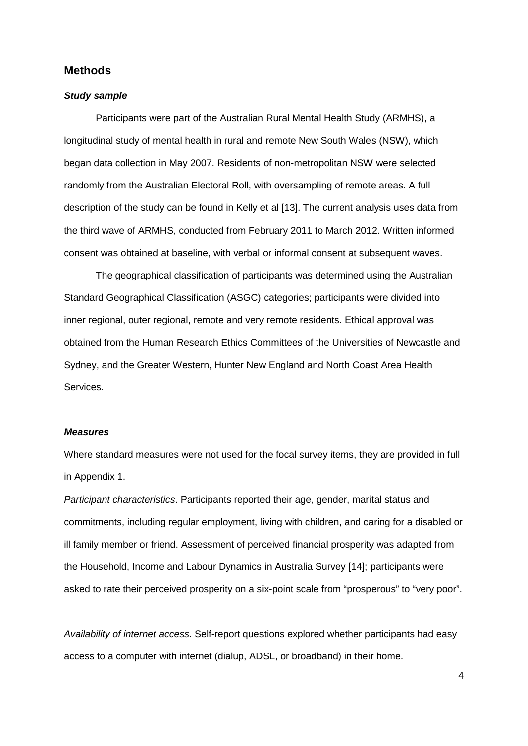## **Methods**

#### *Study sample*

Participants were part of the Australian Rural Mental Health Study (ARMHS), a longitudinal study of mental health in rural and remote New South Wales (NSW), which began data collection in May 2007. Residents of non-metropolitan NSW were selected randomly from the Australian Electoral Roll, with oversampling of remote areas. A full description of the study can be found in Kelly et al [13]. The current analysis uses data from the third wave of ARMHS, conducted from February 2011 to March 2012. Written informed consent was obtained at baseline, with verbal or informal consent at subsequent waves.

The geographical classification of participants was determined using the Australian Standard Geographical Classification (ASGC) categories; participants were divided into inner regional, outer regional, remote and very remote residents. Ethical approval was obtained from the Human Research Ethics Committees of the Universities of Newcastle and Sydney, and the Greater Western, Hunter New England and North Coast Area Health Services.

#### *Measures*

Where standard measures were not used for the focal survey items, they are provided in full in Appendix 1.

*Participant characteristics*. Participants reported their age, gender, marital status and commitments, including regular employment, living with children, and caring for a disabled or ill family member or friend. Assessment of perceived financial prosperity was adapted from the Household, Income and Labour Dynamics in Australia Survey [14]; participants were asked to rate their perceived prosperity on a six-point scale from "prosperous" to "very poor".

*Availability of internet access*. Self-report questions explored whether participants had easy access to a computer with internet (dialup, ADSL, or broadband) in their home.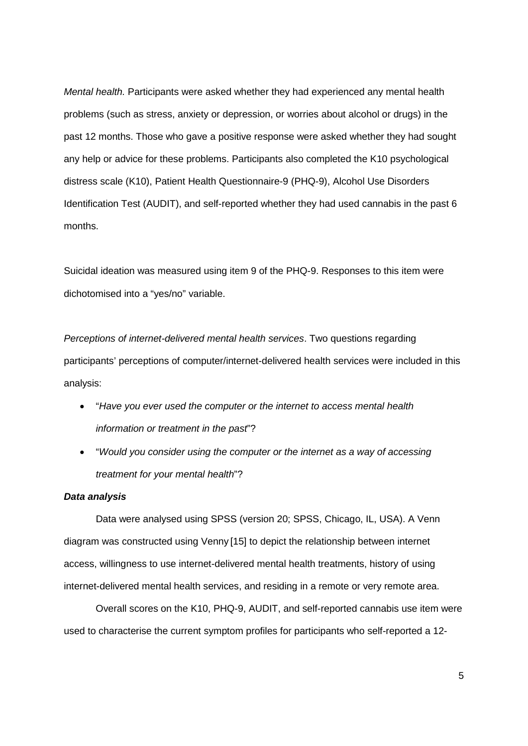*Mental health.* Participants were asked whether they had experienced any mental health problems (such as stress, anxiety or depression, or worries about alcohol or drugs) in the past 12 months. Those who gave a positive response were asked whether they had sought any help or advice for these problems. Participants also completed the K10 psychological distress scale (K10), Patient Health Questionnaire-9 (PHQ-9), Alcohol Use Disorders Identification Test (AUDIT), and self-reported whether they had used cannabis in the past 6 months.

Suicidal ideation was measured using item 9 of the PHQ-9. Responses to this item were dichotomised into a "yes/no" variable.

*Perceptions of internet-delivered mental health services*. Two questions regarding participants' perceptions of computer/internet-delivered health services were included in this analysis:

- "*Have you ever used the computer or the internet to access mental health information or treatment in the past*"?
- "*Would you consider using the computer or the internet as a way of accessing treatment for your mental health*"?

#### *Data analysis*

Data were analysed using SPSS (version 20; SPSS, Chicago, IL, USA). A Venn diagram was constructed using Venny [15] to depict the relationship between internet access, willingness to use internet-delivered mental health treatments, history of using internet-delivered mental health services, and residing in a remote or very remote area.

Overall scores on the K10, PHQ-9, AUDIT, and self-reported cannabis use item were used to characterise the current symptom profiles for participants who self-reported a 12-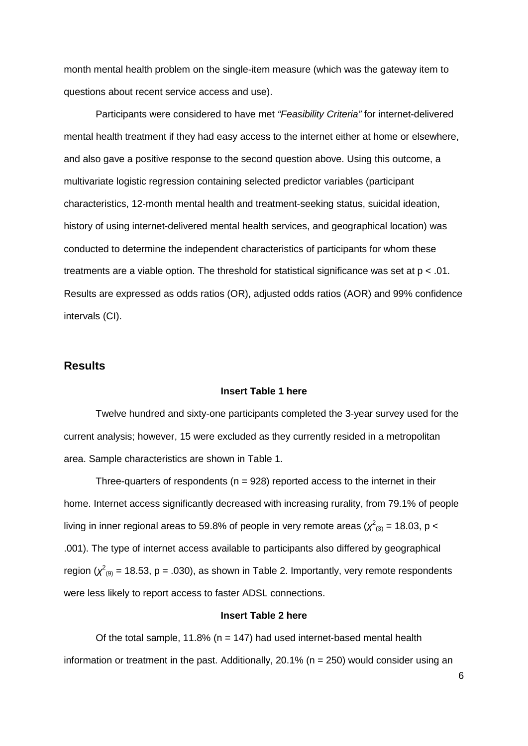month mental health problem on the single-item measure (which was the gateway item to questions about recent service access and use).

Participants were considered to have met *"Feasibility Criteria"* for internet-delivered mental health treatment if they had easy access to the internet either at home or elsewhere, and also gave a positive response to the second question above. Using this outcome, a multivariate logistic regression containing selected predictor variables (participant characteristics, 12-month mental health and treatment-seeking status, suicidal ideation, history of using internet-delivered mental health services, and geographical location) was conducted to determine the independent characteristics of participants for whom these treatments are a viable option. The threshold for statistical significance was set at p < .01. Results are expressed as odds ratios (OR), adjusted odds ratios (AOR) and 99% confidence intervals (CI).

## **Results**

#### **Insert Table 1 here**

Twelve hundred and sixty-one participants completed the 3-year survey used for the current analysis; however, 15 were excluded as they currently resided in a metropolitan area. Sample characteristics are shown in Table 1.

Three-quarters of respondents ( $n = 928$ ) reported access to the internet in their home. Internet access significantly decreased with increasing rurality, from 79.1% of people living in inner regional areas to 59.8% of people in very remote areas ( $\chi^2_{\ (3)}$  = 18.03, p < .001). The type of internet access available to participants also differed by geographical region  $(\chi^2_{(9)} = 18.53, p = .030)$ , as shown in Table 2. Importantly, very remote respondents were less likely to report access to faster ADSL connections.

#### **Insert Table 2 here**

Of the total sample, 11.8% ( $n = 147$ ) had used internet-based mental health information or treatment in the past. Additionally, 20.1% ( $n = 250$ ) would consider using an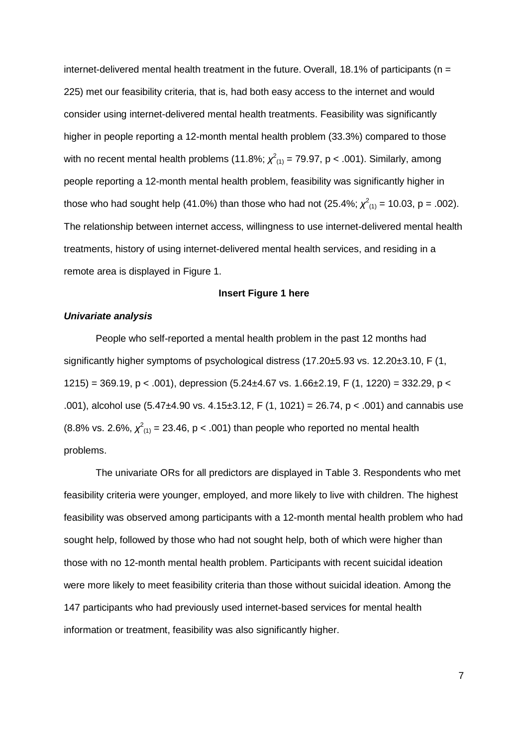internet-delivered mental health treatment in the future. Overall, 18.1% of participants ( $n =$ 225) met our feasibility criteria, that is, had both easy access to the internet and would consider using internet-delivered mental health treatments. Feasibility was significantly higher in people reporting a 12-month mental health problem (33.3%) compared to those with no recent mental health problems (11.8%;  $\chi^2_{(1)}$  = 79.97, p < .001). Similarly, among people reporting a 12-month mental health problem, feasibility was significantly higher in those who had sought help (41.0%) than those who had not (25.4%;  $\chi^2_{(1)}$  = 10.03, p = .002). The relationship between internet access, willingness to use internet-delivered mental health treatments, history of using internet-delivered mental health services, and residing in a remote area is displayed in Figure 1.

#### **Insert Figure 1 here**

#### *Univariate analysis*

People who self-reported a mental health problem in the past 12 months had significantly higher symptoms of psychological distress (17.20±5.93 vs. 12.20±3.10, F (1, 1215) = 369.19, p < .001), depression  $(5.24 \pm 4.67 \text{ vs. } 1.66 \pm 2.19, \text{ F } (1, 1220) = 332.29, \text{ p } <$ .001), alcohol use (5.47±4.90 vs. 4.15±3.12, F (1, 1021) = 26.74, p < .001) and cannabis use (8.8% vs. 2.6%,  $\chi^2_{(1)} = 23.46$ , p < .001) than people who reported no mental health problems.

The univariate ORs for all predictors are displayed in Table 3. Respondents who met feasibility criteria were younger, employed, and more likely to live with children. The highest feasibility was observed among participants with a 12-month mental health problem who had sought help, followed by those who had not sought help, both of which were higher than those with no 12-month mental health problem. Participants with recent suicidal ideation were more likely to meet feasibility criteria than those without suicidal ideation. Among the 147 participants who had previously used internet-based services for mental health information or treatment, feasibility was also significantly higher.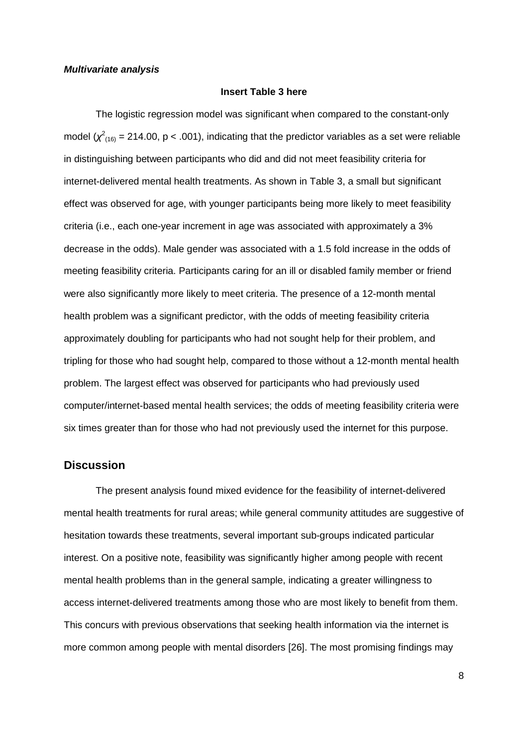#### *Multivariate analysis*

#### **Insert Table 3 here**

The logistic regression model was significant when compared to the constant-only model ( $\chi^2$ <sub>(16)</sub> = 214.00, p < .001), indicating that the predictor variables as a set were reliable in distinguishing between participants who did and did not meet feasibility criteria for internet-delivered mental health treatments. As shown in Table 3, a small but significant effect was observed for age, with younger participants being more likely to meet feasibility criteria (i.e., each one-year increment in age was associated with approximately a 3% decrease in the odds). Male gender was associated with a 1.5 fold increase in the odds of meeting feasibility criteria. Participants caring for an ill or disabled family member or friend were also significantly more likely to meet criteria. The presence of a 12-month mental health problem was a significant predictor, with the odds of meeting feasibility criteria approximately doubling for participants who had not sought help for their problem, and tripling for those who had sought help, compared to those without a 12-month mental health problem. The largest effect was observed for participants who had previously used computer/internet-based mental health services; the odds of meeting feasibility criteria were six times greater than for those who had not previously used the internet for this purpose.

### **Discussion**

The present analysis found mixed evidence for the feasibility of internet-delivered mental health treatments for rural areas; while general community attitudes are suggestive of hesitation towards these treatments, several important sub-groups indicated particular interest. On a positive note, feasibility was significantly higher among people with recent mental health problems than in the general sample, indicating a greater willingness to access internet-delivered treatments among those who are most likely to benefit from them. This concurs with previous observations that seeking health information via the internet is more common among people with mental disorders [26]. The most promising findings may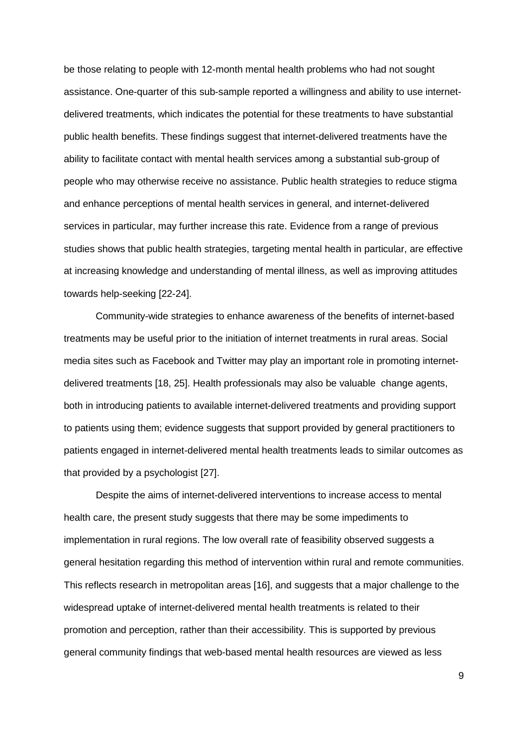be those relating to people with 12-month mental health problems who had not sought assistance. One-quarter of this sub-sample reported a willingness and ability to use internetdelivered treatments, which indicates the potential for these treatments to have substantial public health benefits. These findings suggest that internet-delivered treatments have the ability to facilitate contact with mental health services among a substantial sub-group of people who may otherwise receive no assistance. Public health strategies to reduce stigma and enhance perceptions of mental health services in general, and internet-delivered services in particular, may further increase this rate. Evidence from a range of previous studies shows that public health strategies, targeting mental health in particular, are effective at increasing knowledge and understanding of mental illness, as well as improving attitudes towards help-seeking [22-24].

Community-wide strategies to enhance awareness of the benefits of internet-based treatments may be useful prior to the initiation of internet treatments in rural areas. Social media sites such as Facebook and Twitter may play an important role in promoting internetdelivered treatments [18, 25]. Health professionals may also be valuable change agents, both in introducing patients to available internet-delivered treatments and providing support to patients using them; evidence suggests that support provided by general practitioners to patients engaged in internet-delivered mental health treatments leads to similar outcomes as that provided by a psychologist [27].

Despite the aims of internet-delivered interventions to increase access to mental health care, the present study suggests that there may be some impediments to implementation in rural regions. The low overall rate of feasibility observed suggests a general hesitation regarding this method of intervention within rural and remote communities. This reflects research in metropolitan areas [16], and suggests that a major challenge to the widespread uptake of internet-delivered mental health treatments is related to their promotion and perception, rather than their accessibility. This is supported by previous general community findings that web-based mental health resources are viewed as less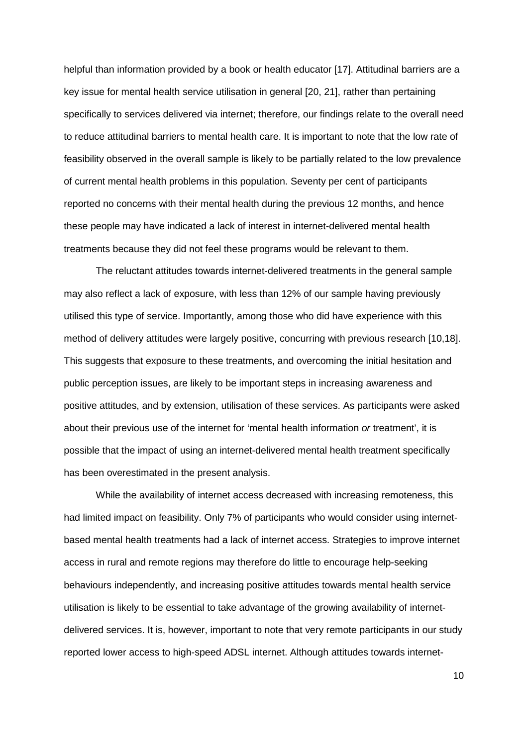helpful than information provided by a book or health educator [17]. Attitudinal barriers are a key issue for mental health service utilisation in general [20, 21], rather than pertaining specifically to services delivered via internet; therefore, our findings relate to the overall need to reduce attitudinal barriers to mental health care. It is important to note that the low rate of feasibility observed in the overall sample is likely to be partially related to the low prevalence of current mental health problems in this population. Seventy per cent of participants reported no concerns with their mental health during the previous 12 months, and hence these people may have indicated a lack of interest in internet-delivered mental health treatments because they did not feel these programs would be relevant to them.

The reluctant attitudes towards internet-delivered treatments in the general sample may also reflect a lack of exposure, with less than 12% of our sample having previously utilised this type of service. Importantly, among those who did have experience with this method of delivery attitudes were largely positive, concurring with previous research [10,18]. This suggests that exposure to these treatments, and overcoming the initial hesitation and public perception issues, are likely to be important steps in increasing awareness and positive attitudes, and by extension, utilisation of these services. As participants were asked about their previous use of the internet for 'mental health information *or* treatment', it is possible that the impact of using an internet-delivered mental health treatment specifically has been overestimated in the present analysis.

While the availability of internet access decreased with increasing remoteness, this had limited impact on feasibility. Only 7% of participants who would consider using internetbased mental health treatments had a lack of internet access. Strategies to improve internet access in rural and remote regions may therefore do little to encourage help-seeking behaviours independently, and increasing positive attitudes towards mental health service utilisation is likely to be essential to take advantage of the growing availability of internetdelivered services. It is, however, important to note that very remote participants in our study reported lower access to high-speed ADSL internet. Although attitudes towards internet-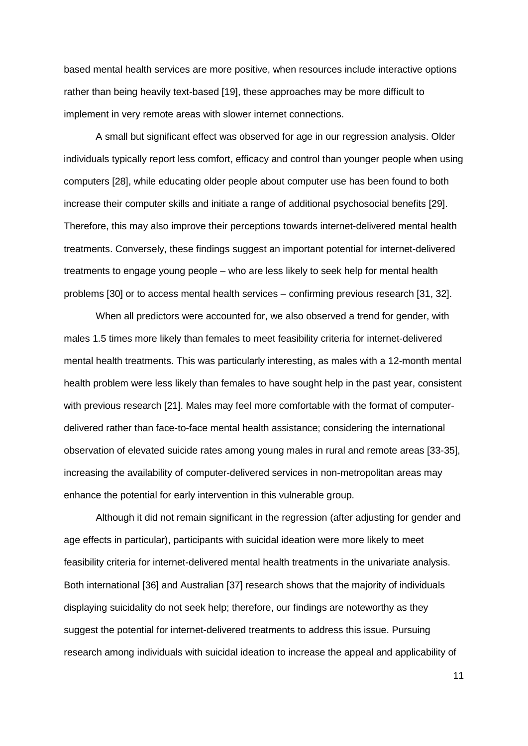based mental health services are more positive, when resources include interactive options rather than being heavily text-based [19], these approaches may be more difficult to implement in very remote areas with slower internet connections.

A small but significant effect was observed for age in our regression analysis. Older individuals typically report less comfort, efficacy and control than younger people when using computers [28], while educating older people about computer use has been found to both increase their computer skills and initiate a range of additional psychosocial benefits [29]. Therefore, this may also improve their perceptions towards internet-delivered mental health treatments. Conversely, these findings suggest an important potential for internet-delivered treatments to engage young people – who are less likely to seek help for mental health problems [30] or to access mental health services – confirming previous research [31, 32].

When all predictors were accounted for, we also observed a trend for gender, with males 1.5 times more likely than females to meet feasibility criteria for internet-delivered mental health treatments. This was particularly interesting, as males with a 12-month mental health problem were less likely than females to have sought help in the past year, consistent with previous research [21]. Males may feel more comfortable with the format of computerdelivered rather than face-to-face mental health assistance; considering the international observation of elevated suicide rates among young males in rural and remote areas [33-35], increasing the availability of computer-delivered services in non-metropolitan areas may enhance the potential for early intervention in this vulnerable group.

Although it did not remain significant in the regression (after adjusting for gender and age effects in particular), participants with suicidal ideation were more likely to meet feasibility criteria for internet-delivered mental health treatments in the univariate analysis. Both international [36] and Australian [37] research shows that the majority of individuals displaying suicidality do not seek help; therefore, our findings are noteworthy as they suggest the potential for internet-delivered treatments to address this issue. Pursuing research among individuals with suicidal ideation to increase the appeal and applicability of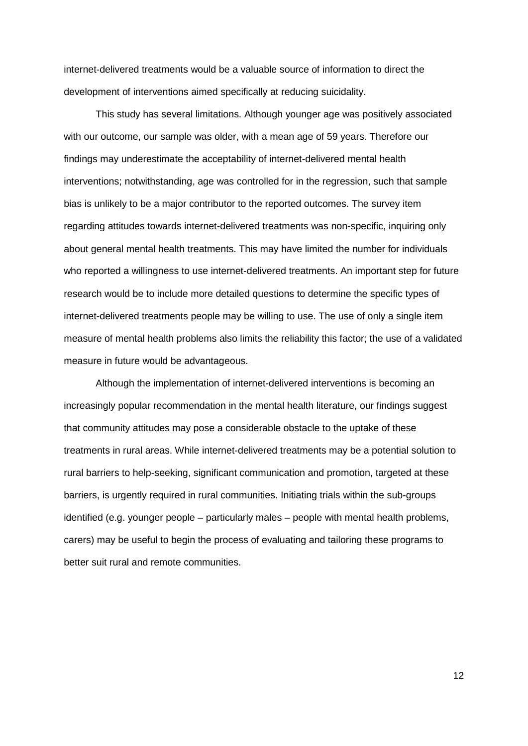internet-delivered treatments would be a valuable source of information to direct the development of interventions aimed specifically at reducing suicidality.

This study has several limitations. Although younger age was positively associated with our outcome, our sample was older, with a mean age of 59 years. Therefore our findings may underestimate the acceptability of internet-delivered mental health interventions; notwithstanding, age was controlled for in the regression, such that sample bias is unlikely to be a major contributor to the reported outcomes. The survey item regarding attitudes towards internet-delivered treatments was non-specific, inquiring only about general mental health treatments. This may have limited the number for individuals who reported a willingness to use internet-delivered treatments. An important step for future research would be to include more detailed questions to determine the specific types of internet-delivered treatments people may be willing to use. The use of only a single item measure of mental health problems also limits the reliability this factor; the use of a validated measure in future would be advantageous.

Although the implementation of internet-delivered interventions is becoming an increasingly popular recommendation in the mental health literature, our findings suggest that community attitudes may pose a considerable obstacle to the uptake of these treatments in rural areas. While internet-delivered treatments may be a potential solution to rural barriers to help-seeking, significant communication and promotion, targeted at these barriers, is urgently required in rural communities. Initiating trials within the sub-groups identified (e.g. younger people – particularly males – people with mental health problems, carers) may be useful to begin the process of evaluating and tailoring these programs to better suit rural and remote communities.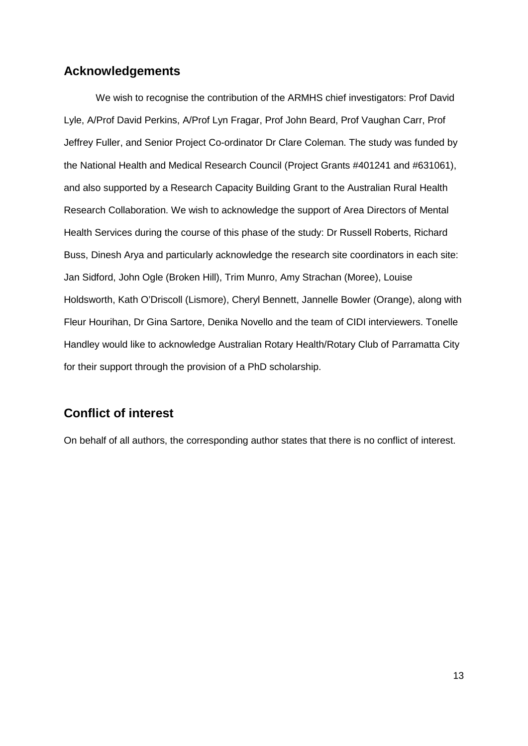## **Acknowledgements**

We wish to recognise the contribution of the ARMHS chief investigators: Prof David Lyle, A/Prof David Perkins, A/Prof Lyn Fragar, Prof John Beard, Prof Vaughan Carr, Prof Jeffrey Fuller, and Senior Project Co-ordinator Dr Clare Coleman. The study was funded by the National Health and Medical Research Council (Project Grants #401241 and #631061), and also supported by a Research Capacity Building Grant to the Australian Rural Health Research Collaboration. We wish to acknowledge the support of Area Directors of Mental Health Services during the course of this phase of the study: Dr Russell Roberts, Richard Buss, Dinesh Arya and particularly acknowledge the research site coordinators in each site: Jan Sidford, John Ogle (Broken Hill), Trim Munro, Amy Strachan (Moree), Louise Holdsworth, Kath O'Driscoll (Lismore), Cheryl Bennett, Jannelle Bowler (Orange), along with Fleur Hourihan, Dr Gina Sartore, Denika Novello and the team of CIDI interviewers. Tonelle Handley would like to acknowledge Australian Rotary Health/Rotary Club of Parramatta City for their support through the provision of a PhD scholarship.

## **Conflict of interest**

On behalf of all authors, the corresponding author states that there is no conflict of interest.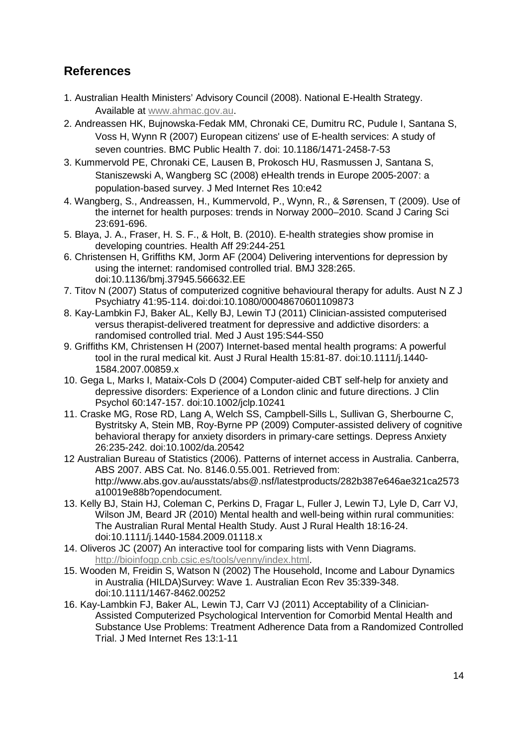# **References**

- 1. Australian Health Ministers' Advisory Council (2008). National E-Health Strategy. Available at [www.ahmac.gov.au.](http://www.ahmac.gov.au/)
- 2. Andreassen HK, Bujnowska-Fedak MM, Chronaki CE, Dumitru RC, Pudule I, Santana S, Voss H, Wynn R (2007) European citizens' use of E-health services: A study of seven countries. BMC Public Health 7. doi: 10.1186/1471-2458-7-53
- 3. Kummervold PE, Chronaki CE, Lausen B, Prokosch HU, Rasmussen J, Santana S, Staniszewski A, Wangberg SC (2008) eHealth trends in Europe 2005-2007: a population-based survey. J Med Internet Res 10:e42
- 4. Wangberg, S., Andreassen, H., Kummervold, P., Wynn, R., & Sørensen, T (2009). Use of the internet for health purposes: trends in Norway 2000–2010. Scand J Caring Sci 23:691-696.
- 5. Blaya, J. A., Fraser, H. S. F., & Holt, B. (2010). E-health strategies show promise in developing countries. Health Aff 29:244-251
- 6. Christensen H, Griffiths KM, Jorm AF (2004) Delivering interventions for depression by using the internet: randomised controlled trial. BMJ 328:265. doi:10.1136/bmj.37945.566632.EE
- 7. Titov N (2007) Status of computerized cognitive behavioural therapy for adults. Aust N Z J Psychiatry 41:95-114. doi:doi:10.1080/00048670601109873
- 8. Kay-Lambkin FJ, Baker AL, Kelly BJ, Lewin TJ (2011) Clinician-assisted computerised versus therapist-delivered treatment for depressive and addictive disorders: a randomised controlled trial. Med J Aust 195:S44-S50
- 9. Griffiths KM, Christensen H (2007) Internet-based mental health programs: A powerful tool in the rural medical kit. Aust J Rural Health 15:81-87. doi:10.1111/j.1440- 1584.2007.00859.x
- 10. Gega L, Marks I, Mataix-Cols D (2004) Computer-aided CBT self-help for anxiety and depressive disorders: Experience of a London clinic and future directions. J Clin Psychol 60:147-157. doi:10.1002/jclp.10241
- 11. Craske MG, Rose RD, Lang A, Welch SS, Campbell-Sills L, Sullivan G, Sherbourne C, Bystritsky A, Stein MB, Roy-Byrne PP (2009) Computer-assisted delivery of cognitive behavioral therapy for anxiety disorders in primary-care settings. Depress Anxiety 26:235-242. doi:10.1002/da.20542
- 12 Australian Bureau of Statistics (2006). Patterns of internet access in Australia. Canberra, ABS 2007. ABS Cat. No. 8146.0.55.001. Retrieved from: http://www.abs.gov.au/ausstats/abs@.nsf/latestproducts/282b387e646ae321ca2573 a10019e88b?opendocument.
- 13. Kelly BJ, Stain HJ, Coleman C, Perkins D, Fragar L, Fuller J, Lewin TJ, Lyle D, Carr VJ, Wilson JM, Beard JR (2010) Mental health and well-being within rural communities: The Australian Rural Mental Health Study. Aust J Rural Health 18:16-24. doi:10.1111/j.1440-1584.2009.01118.x
- 14. Oliveros JC (2007) An interactive tool for comparing lists with Venn Diagrams. [http://bioinfogp.cnb.csic.es/tools/venny/index.html.](http://bioinfogp.cnb.csic.es/tools/venny/index.html)
- 15. Wooden M, Freidin S, Watson N (2002) The Household, Income and Labour Dynamics in Australia (HILDA)Survey: Wave 1. Australian Econ Rev 35:339-348. doi:10.1111/1467-8462.00252
- 16. Kay-Lambkin FJ, Baker AL, Lewin TJ, Carr VJ (2011) Acceptability of a Clinician-Assisted Computerized Psychological Intervention for Comorbid Mental Health and Substance Use Problems: Treatment Adherence Data from a Randomized Controlled Trial. J Med Internet Res 13:1-11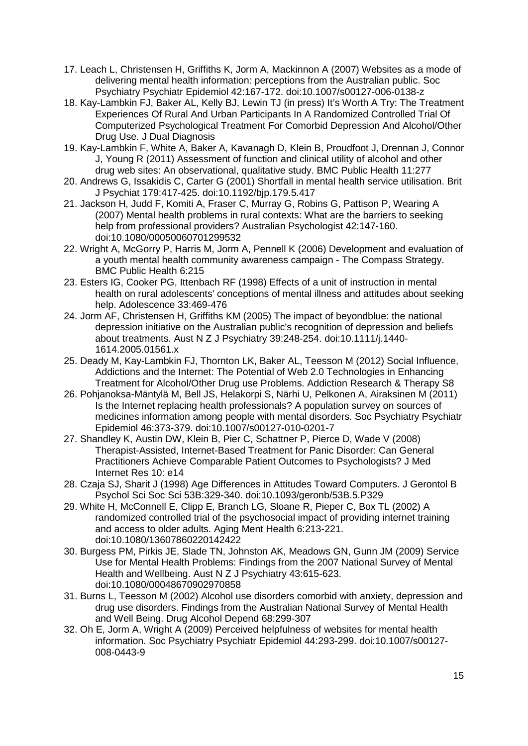- 17. Leach L, Christensen H, Griffiths K, Jorm A, Mackinnon A (2007) Websites as a mode of delivering mental health information: perceptions from the Australian public. Soc Psychiatry Psychiatr Epidemiol 42:167-172. doi:10.1007/s00127-006-0138-z
- 18. Kay-Lambkin FJ, Baker AL, Kelly BJ, Lewin TJ (in press) It's Worth A Try: The Treatment Experiences Of Rural And Urban Participants In A Randomized Controlled Trial Of Computerized Psychological Treatment For Comorbid Depression And Alcohol/Other Drug Use. J Dual Diagnosis
- 19. Kay-Lambkin F, White A, Baker A, Kavanagh D, Klein B, Proudfoot J, Drennan J, Connor J, Young R (2011) Assessment of function and clinical utility of alcohol and other drug web sites: An observational, qualitative study. BMC Public Health 11:277
- 20. Andrews G, Issakidis C, Carter G (2001) Shortfall in mental health service utilisation. Brit J Psychiat 179:417-425. doi:10.1192/bjp.179.5.417
- 21. Jackson H, Judd F, Komiti A, Fraser C, Murray G, Robins G, Pattison P, Wearing A (2007) Mental health problems in rural contexts: What are the barriers to seeking help from professional providers? Australian Psychologist 42:147-160. doi:10.1080/00050060701299532
- 22. Wright A, McGorry P, Harris M, Jorm A, Pennell K (2006) Development and evaluation of a youth mental health community awareness campaign - The Compass Strategy. BMC Public Health 6:215
- 23. Esters IG, Cooker PG, Ittenbach RF (1998) Effects of a unit of instruction in mental health on rural adolescents' conceptions of mental illness and attitudes about seeking help. Adolescence 33:469-476
- 24. Jorm AF, Christensen H, Griffiths KM (2005) The impact of beyondblue: the national depression initiative on the Australian public's recognition of depression and beliefs about treatments. Aust N Z J Psychiatry 39:248-254. doi:10.1111/j.1440- 1614.2005.01561.x
- 25. Deady M, Kay-Lambkin FJ, Thornton LK, Baker AL, Teesson M (2012) Social Influence, Addictions and the Internet: The Potential of Web 2.0 Technologies in Enhancing Treatment for Alcohol/Other Drug use Problems. Addiction Research & Therapy S8
- 26. Pohjanoksa-Mäntylä M, Bell JS, Helakorpi S, Närhi U, Pelkonen A, Airaksinen M (2011) Is the Internet replacing health professionals? A population survey on sources of medicines information among people with mental disorders. Soc Psychiatry Psychiatr Epidemiol 46:373-379. doi:10.1007/s00127-010-0201-7
- 27. Shandley K, Austin DW, Klein B, Pier C, Schattner P, Pierce D, Wade V (2008) Therapist-Assisted, Internet-Based Treatment for Panic Disorder: Can General Practitioners Achieve Comparable Patient Outcomes to Psychologists? J Med Internet Res 10: e14
- 28. Czaja SJ, Sharit J (1998) Age Differences in Attitudes Toward Computers. J Gerontol B Psychol Sci Soc Sci 53B:329-340. doi:10.1093/geronb/53B.5.P329
- 29. White H, McConnell E, Clipp E, Branch LG, Sloane R, Pieper C, Box TL (2002) A randomized controlled trial of the psychosocial impact of providing internet training and access to older adults. Aging Ment Health 6:213-221. doi:10.1080/13607860220142422
- 30. Burgess PM, Pirkis JE, Slade TN, Johnston AK, Meadows GN, Gunn JM (2009) Service Use for Mental Health Problems: Findings from the 2007 National Survey of Mental Health and Wellbeing. Aust N Z J Psychiatry 43:615-623. doi:10.1080/00048670902970858
- 31. Burns L, Teesson M (2002) Alcohol use disorders comorbid with anxiety, depression and drug use disorders. Findings from the Australian National Survey of Mental Health and Well Being. Drug Alcohol Depend 68:299-307
- 32. Oh E, Jorm A, Wright A (2009) Perceived helpfulness of websites for mental health information. Soc Psychiatry Psychiatr Epidemiol 44:293-299. doi:10.1007/s00127- 008-0443-9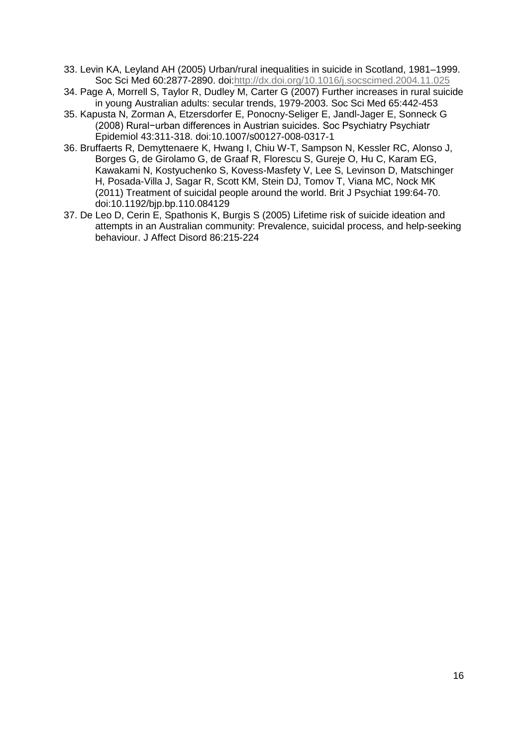- 33. Levin KA, Leyland AH (2005) Urban/rural inequalities in suicide in Scotland, 1981–1999. Soc Sci Med 60:2877-2890. doi[:http://dx.doi.org/10.1016/j.socscimed.2004.11.025](http://dx.doi.org/10.1016/j.socscimed.2004.11.025)
- 34. Page A, Morrell S, Taylor R, Dudley M, Carter G (2007) Further increases in rural suicide in young Australian adults: secular trends, 1979-2003. Soc Sci Med 65:442-453
- 35. Kapusta N, Zorman A, Etzersdorfer E, Ponocny-Seliger E, Jandl-Jager E, Sonneck G (2008) Rural−urban differences in Austrian suicides. Soc Psychiatry Psychiatr Epidemiol 43:311-318. doi:10.1007/s00127-008-0317-1
- 36. Bruffaerts R, Demyttenaere K, Hwang I, Chiu W-T, Sampson N, Kessler RC, Alonso J, Borges G, de Girolamo G, de Graaf R, Florescu S, Gureje O, Hu C, Karam EG, Kawakami N, Kostyuchenko S, Kovess-Masfety V, Lee S, Levinson D, Matschinger H, Posada-Villa J, Sagar R, Scott KM, Stein DJ, Tomov T, Viana MC, Nock MK (2011) Treatment of suicidal people around the world. Brit J Psychiat 199:64-70. doi:10.1192/bjp.bp.110.084129
- 37. De Leo D, Cerin E, Spathonis K, Burgis S (2005) Lifetime risk of suicide ideation and attempts in an Australian community: Prevalence, suicidal process, and help-seeking behaviour. J Affect Disord 86:215-224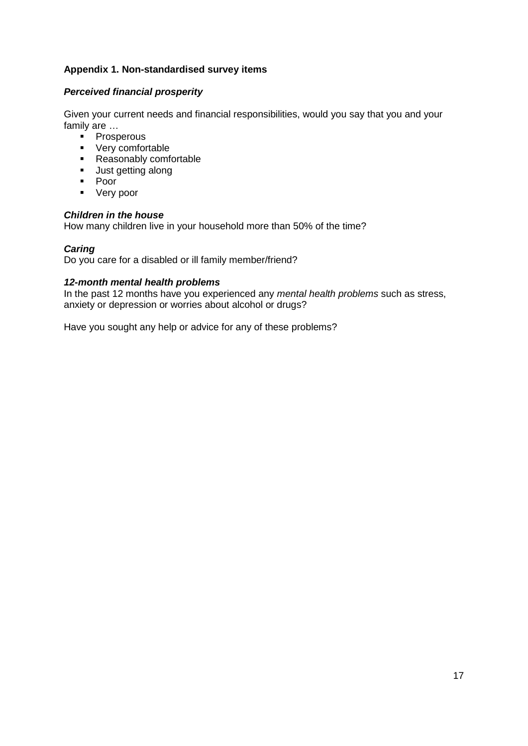## **Appendix 1. Non-standardised survey items**

### *Perceived financial prosperity*

Given your current needs and financial responsibilities, would you say that you and your family are …

- **Prosperous**
- **very comfortable**
- Reasonably comfortable
- **Just getting along**
- Poor
- **v** Very poor

### *Children in the house*

How many children live in your household more than 50% of the time?

## *Caring*

Do you care for a disabled or ill family member/friend?

### *12-month mental health problems*

In the past 12 months have you experienced any *mental health problems* such as stress, anxiety or depression or worries about alcohol or drugs?

Have you sought any help or advice for any of these problems?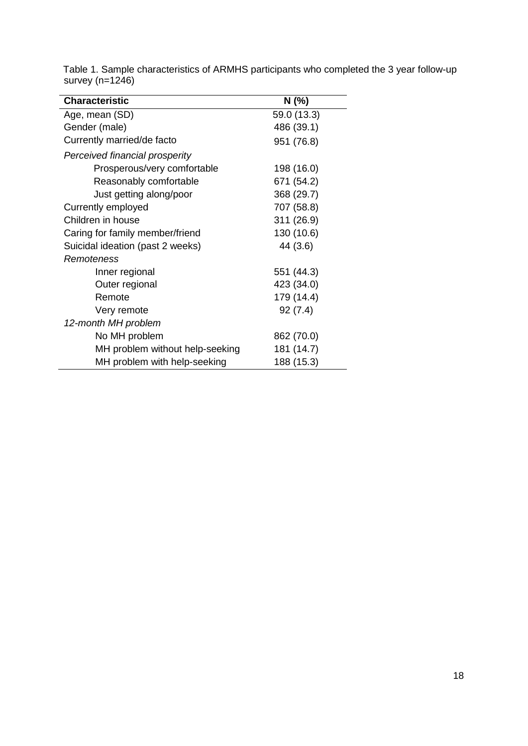| <b>Characteristic</b>            | N (%)       |
|----------------------------------|-------------|
| Age, mean (SD)                   | 59.0 (13.3) |
| Gender (male)                    | 486 (39.1)  |
| Currently married/de facto       | 951 (76.8)  |
| Perceived financial prosperity   |             |
| Prosperous/very comfortable      | 198 (16.0)  |
| Reasonably comfortable           | 671 (54.2)  |
| Just getting along/poor          | 368 (29.7)  |
| Currently employed               | 707 (58.8)  |
| Children in house                | 311 (26.9)  |
| Caring for family member/friend  | 130 (10.6)  |
| Suicidal ideation (past 2 weeks) | 44 (3.6)    |
| <i>Remoteness</i>                |             |
| Inner regional                   | 551 (44.3)  |
| Outer regional                   | 423 (34.0)  |
| Remote                           | 179 (14.4)  |
| Very remote                      | 92(7.4)     |
| 12-month MH problem              |             |
| No MH problem                    | 862 (70.0)  |
| MH problem without help-seeking  | 181 (14.7)  |
| MH problem with help-seeking     | 188 (15.3)  |

Table 1. Sample characteristics of ARMHS participants who completed the 3 year follow-up survey (n=1246)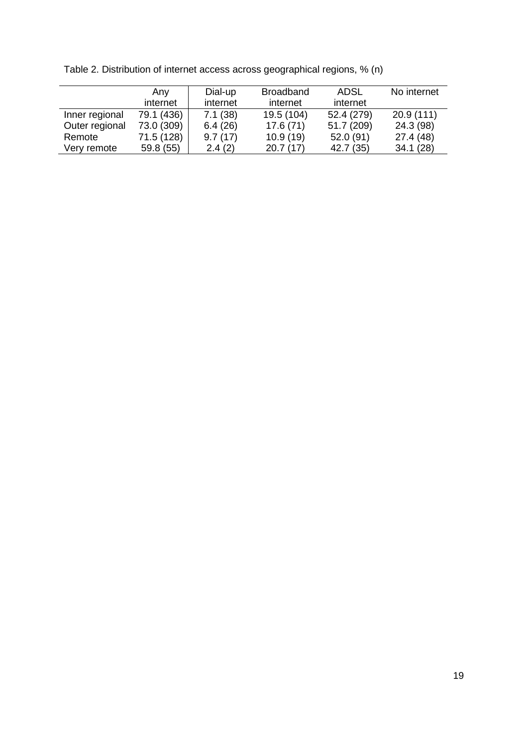|                | Any        | Dial-up  | <b>Broadband</b> | <b>ADSL</b> | No internet |
|----------------|------------|----------|------------------|-------------|-------------|
|                | internet   | internet | internet         | internet    |             |
| Inner regional | 79.1 (436) | 7.1(38)  | 19.5 (104)       | 52.4 (279)  | 20.9(111)   |
| Outer regional | 73.0 (309) | 6.4(26)  | 17.6(71)         | 51.7 (209)  | 24.3 (98)   |
| Remote         | 71.5 (128) | 9.7(17)  | 10.9(19)         | 52.0(91)    | 27.4(48)    |
| Very remote    | 59.8 (55)  | 2.4(2)   | 20.7(17)         | 42.7 (35)   | 34.1(28)    |

Table 2. Distribution of internet access across geographical regions, % (n)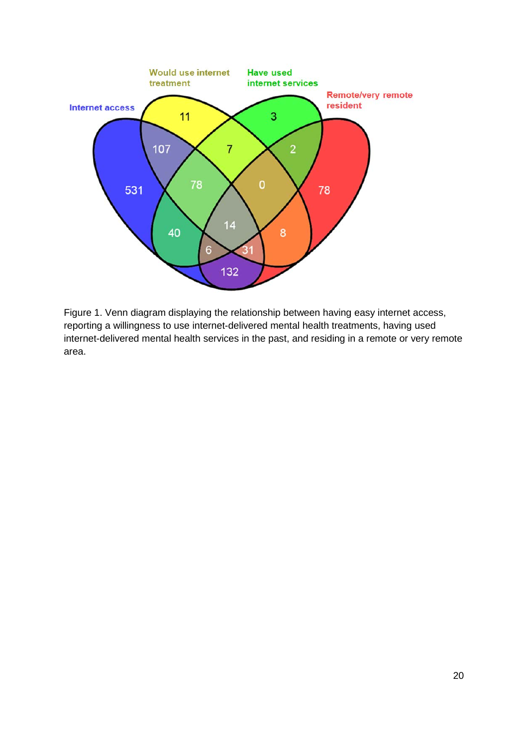

Figure 1. Venn diagram displaying the relationship between having easy internet access, reporting a willingness to use internet-delivered mental health treatments, having used internet-delivered mental health services in the past, and residing in a remote or very remote area.